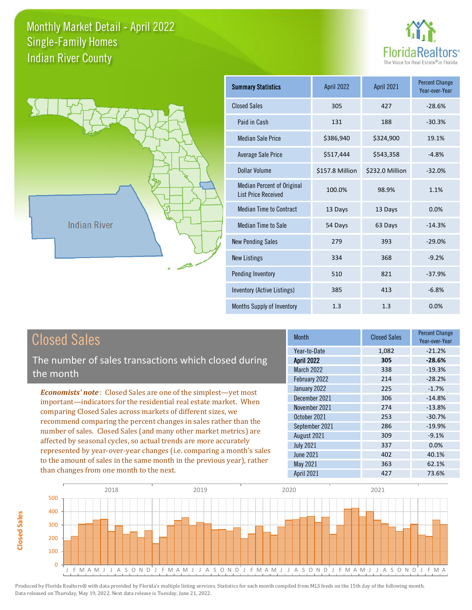



**Closed Sales**

**Closed Sales** 

| <b>Summary Statistics</b>                                       | <b>April 2022</b> | April 2021      | <b>Percent Change</b><br>Year-over-Year |
|-----------------------------------------------------------------|-------------------|-----------------|-----------------------------------------|
| <b>Closed Sales</b>                                             | 305               | 427             | $-28.6%$                                |
| Paid in Cash                                                    | 131               | 188             | $-30.3%$                                |
| <b>Median Sale Price</b>                                        | \$386,940         | \$324,900       | 19.1%                                   |
| Average Sale Price                                              | \$517,444         | \$543,358       | $-4.8%$                                 |
| Dollar Volume                                                   | \$157.8 Million   | \$232.0 Million | $-32.0%$                                |
| <b>Median Percent of Original</b><br><b>List Price Received</b> | 100.0%            | 98.9%           | 1.1%                                    |
| <b>Median Time to Contract</b>                                  | 13 Days           | 13 Days         | 0.0%                                    |
| <b>Median Time to Sale</b>                                      | 54 Days           | 63 Days         | $-14.3%$                                |
| <b>New Pending Sales</b>                                        | 279               | 393             | $-29.0%$                                |
| <b>New Listings</b>                                             | 334               | 368             | $-9.2%$                                 |
| Pending Inventory                                               | 510               | 821             | $-37.9%$                                |
| Inventory (Active Listings)                                     | 385               | 413             | $-6.8%$                                 |
| Months Supply of Inventory                                      | 1.3               | 1.3             | 0.0%                                    |

| <b>Closed Sales</b>                                                                                                                                                                                                                                                                                                                                                                                                                                                                                                                                                          | <b>Month</b>                                                                                                                                        | <b>Closed Sales</b>                                         | <b>Percent Change</b><br>Year-over-Year                                                      |
|------------------------------------------------------------------------------------------------------------------------------------------------------------------------------------------------------------------------------------------------------------------------------------------------------------------------------------------------------------------------------------------------------------------------------------------------------------------------------------------------------------------------------------------------------------------------------|-----------------------------------------------------------------------------------------------------------------------------------------------------|-------------------------------------------------------------|----------------------------------------------------------------------------------------------|
| The number of sales transactions which closed during<br>the month                                                                                                                                                                                                                                                                                                                                                                                                                                                                                                            | Year-to-Date<br><b>April 2022</b><br>March 2022<br>February 2022                                                                                    | 1,082<br>305<br>338<br>214                                  | $-21.2%$<br>$-28.6%$<br>$-19.3%$<br>$-28.2%$                                                 |
| <b>Economists' note:</b> Closed Sales are one of the simplest-yet most<br>important-indicators for the residential real estate market. When<br>comparing Closed Sales across markets of different sizes, we<br>recommend comparing the percent changes in sales rather than the<br>number of sales. Closed Sales (and many other market metrics) are<br>affected by seasonal cycles, so actual trends are more accurately<br>represented by year-over-year changes (i.e. comparing a month's sales<br>to the amount of sales in the same month in the previous year), rather | January 2022<br>December 2021<br>November 2021<br>October 2021<br>September 2021<br>August 2021<br><b>July 2021</b><br><b>June 2021</b><br>May 2021 | 225<br>306<br>274<br>253<br>286<br>309<br>337<br>402<br>363 | $-1.7%$<br>$-14.8%$<br>$-13.8%$<br>$-30.7%$<br>$-19.9%$<br>$-9.1%$<br>0.0%<br>40.1%<br>62.1% |
| than changes from one month to the next.                                                                                                                                                                                                                                                                                                                                                                                                                                                                                                                                     | <b>April 2021</b>                                                                                                                                   | 427                                                         | 73.6%                                                                                        |

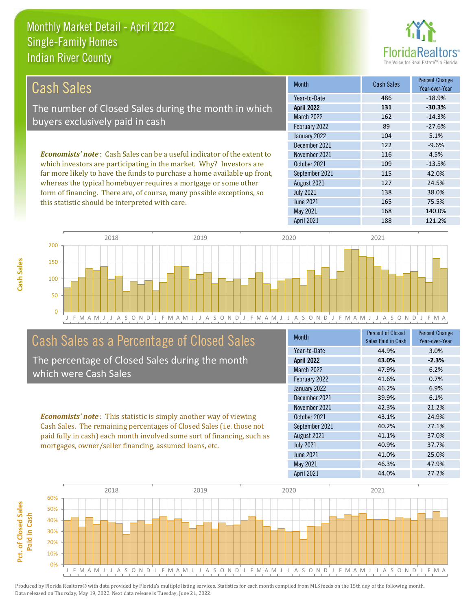this statistic should be interpreted with care.



165 75.5%

| Cash Sales                                                                      | <b>Month</b>      | Cash Sales | <b>Percent Change</b><br>Year-over-Year |
|---------------------------------------------------------------------------------|-------------------|------------|-----------------------------------------|
|                                                                                 | Year-to-Date      | 486        | $-18.9%$                                |
| The number of Closed Sales during the month in which                            | <b>April 2022</b> | 131        | $-30.3%$                                |
| buyers exclusively paid in cash                                                 | <b>March 2022</b> | 162        | $-14.3%$                                |
|                                                                                 | February 2022     | 89         | $-27.6%$                                |
|                                                                                 | January 2022      | 104        | 5.1%                                    |
|                                                                                 | December 2021     | 122        | $-9.6%$                                 |
| <b>Economists' note</b> : Cash Sales can be a useful indicator of the extent to | November 2021     | 116        | 4.5%                                    |
| which investors are participating in the market. Why? Investors are             | October 2021      | 109        | $-13.5%$                                |
| far more likely to have the funds to purchase a home available up front,        | September 2021    | 115        | 42.0%                                   |
| whereas the typical homebuyer requires a mortgage or some other                 | August 2021       | 127        | 24.5%                                   |
| form of financing. There are, of course, many possible exceptions, so           | <b>July 2021</b>  | 138        | 38.0%                                   |

J F M A M J J A S O N D J F M A M J J A S O N D J F M A M J J A S O N D J F M A M J J A S O N D J F M A 0 50 100 150 200 2018 2019 2020 2021

#### Cash Sales as a Percentage of Closed Sales

The percentage of Closed Sales during the month which were Cash Sales

*Economists' note* : This statistic is simply another way of viewing Cash Sales. The remaining percentages of Closed Sales (i.e. those not paid fully in cash) each month involved some sort of financing, such as mortgages, owner/seller financing, assumed loans, etc.

| <b>Month</b>      | <b>Percent of Closed</b><br>Sales Paid in Cash | <b>Percent Change</b><br>Year-over-Year |
|-------------------|------------------------------------------------|-----------------------------------------|
| Year-to-Date      | 44.9%                                          | 3.0%                                    |
| <b>April 2022</b> | 43.0%                                          | $-2.3%$                                 |
| <b>March 2022</b> | 47.9%                                          | 6.2%                                    |
| February 2022     | 41.6%                                          | 0.7%                                    |
| January 2022      | 46.2%                                          | 6.9%                                    |
| December 2021     | 39.9%                                          | 6.1%                                    |
| November 2021     | 42.3%                                          | 21.2%                                   |
| October 2021      | 43.1%                                          | 24.9%                                   |
| September 2021    | 40.2%                                          | 77.1%                                   |
| August 2021       | 41.1%                                          | 37.0%                                   |
| <b>July 2021</b>  | 40.9%                                          | 37.7%                                   |
| <b>June 2021</b>  | 41.0%                                          | 25.0%                                   |
| May 2021          | 46.3%                                          | 47.9%                                   |
| <b>April 2021</b> | 44.0%                                          | 27.2%                                   |

May 2021 168 140.0%

June 2021

April 2021 188 121.2%

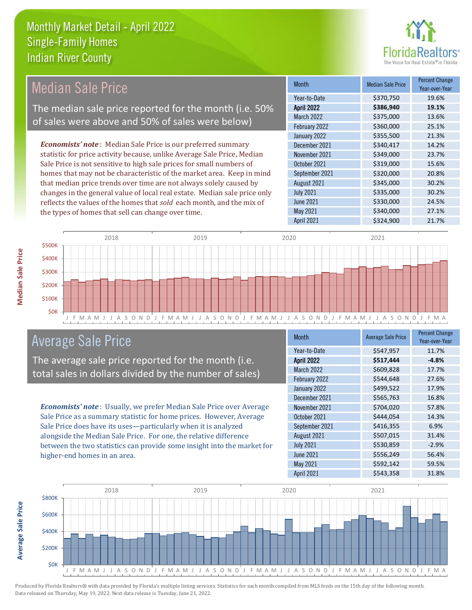

| Median Sale Price                                                         | <b>Month</b>      | <b>Median Sale Price</b> | <b>Percent Change</b><br>Year-over-Year |
|---------------------------------------------------------------------------|-------------------|--------------------------|-----------------------------------------|
|                                                                           | Year-to-Date      | \$370,750                | 19.6%                                   |
| The median sale price reported for the month (i.e. 50%                    | <b>April 2022</b> | \$386,940                | 19.1%                                   |
| of sales were above and 50% of sales were below)                          | March 2022        | \$375,000                | 13.6%                                   |
|                                                                           | February 2022     | \$360,000                | 25.1%                                   |
|                                                                           | January 2022      | \$355,500                | 21.3%                                   |
| <b>Economists' note:</b> Median Sale Price is our preferred summary       | December 2021     | \$340,417                | 14.2%                                   |
| statistic for price activity because, unlike Average Sale Price, Median   | November 2021     | \$349,000                | 23.7%                                   |
| Sale Price is not sensitive to high sale prices for small numbers of      | October 2021      | \$319,000                | 15.6%                                   |
| homes that may not be characteristic of the market area. Keep in mind     | September 2021    | \$320,000                | 20.8%                                   |
| that median price trends over time are not always solely caused by        | August 2021       | \$345,000                | 30.2%                                   |
| changes in the general value of local real estate. Median sale price only | <b>July 2021</b>  | \$335,000                | 30.2%                                   |
| reflects the values of the homes that sold each month, and the mix of     | June 2021         | \$330,000                | 24.5%                                   |
| the types of homes that sell can change over time.                        | May 2021          | \$340,000                | 27.1%                                   |
|                                                                           | <b>April 2021</b> | \$324,900                | 21.7%                                   |



#### Average Sale Price

The average sale price reported for the month (i.e. total sales in dollars divided by the number of sales)

*Economists' note* : Usually, we prefer Median Sale Price over Average Sale Price as a summary statistic for home prices. However, Average Sale Price does have its uses—particularly when it is analyzed alongside the Median Sale Price. For one, the relative difference between the two statistics can provide some insight into the market for higher-end homes in an area.

| <b>Month</b>      | <b>Average Sale Price</b> | <b>Percent Change</b><br>Year-over-Year |
|-------------------|---------------------------|-----------------------------------------|
| Year-to-Date      | \$547,957                 | 11.7%                                   |
| <b>April 2022</b> | \$517,444                 | $-4.8%$                                 |
| March 2022        | \$609,828                 | 17.7%                                   |
| February 2022     | \$544,648                 | 27.6%                                   |
| January 2022      | \$499,522                 | 17.9%                                   |
| December 2021     | \$565,763                 | 16.8%                                   |
| November 2021     | \$704,020                 | 57.8%                                   |
| October 2021      | \$444,054                 | 14.3%                                   |
| September 2021    | \$416,355                 | 6.9%                                    |
| August 2021       | \$507,015                 | 31.4%                                   |
| <b>July 2021</b>  | \$530,859                 | $-2.9%$                                 |
| <b>June 2021</b>  | \$556,249                 | 56.4%                                   |
| May 2021          | \$592,142                 | 59.5%                                   |
| April 2021        | \$543,358                 | 31.8%                                   |



Produced by Florida Realtors® with data provided by Florida's multiple listing services. Statistics for each month compiled from MLS feeds on the 15th day of the following month. Data released on Thursday, May 19, 2022. Next data release is Tuesday, June 21, 2022.

**Average Sale Price**

**Average Sale Price**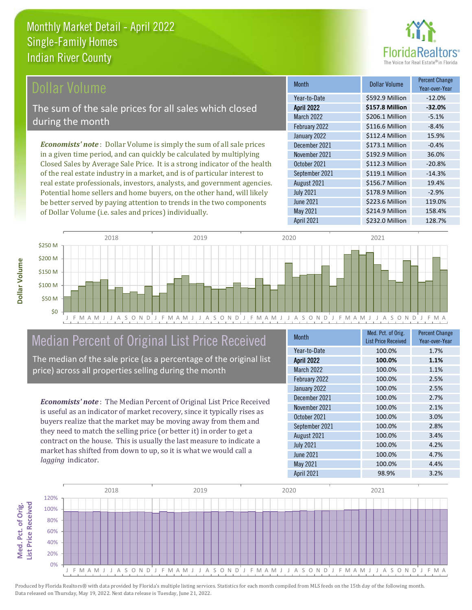

#### Dollar Volume

The sum of the sale prices for all sales which closed during the month

*Economists' note* : Dollar Volume is simply the sum of all sale prices in a given time period, and can quickly be calculated by multiplying Closed Sales by Average Sale Price. It is a strong indicator of the health of the real estate industry in a market, and is of particular interest to real estate professionals, investors, analysts, and government agencies. Potential home sellers and home buyers, on the other hand, will likely be better served by paying attention to trends in the two components of Dollar Volume (i.e. sales and prices) individually.

| <b>Month</b>      | <b>Dollar Volume</b> | <b>Percent Change</b><br>Year-over-Year |
|-------------------|----------------------|-----------------------------------------|
| Year-to-Date      | \$592.9 Million      | $-12.0%$                                |
| <b>April 2022</b> | \$157.8 Million      | $-32.0%$                                |
| March 2022        | \$206.1 Million      | $-5.1%$                                 |
| February 2022     | \$116.6 Million      | $-8.4%$                                 |
| January 2022      | \$112.4 Million      | 15.9%                                   |
| December 2021     | \$173.1 Million      | $-0.4%$                                 |
| November 2021     | \$192.9 Million      | 36.0%                                   |
| October 2021      | \$112.3 Million      | $-20.8%$                                |
| September 2021    | \$119.1 Million      | $-14.3%$                                |
| August 2021       | \$156.7 Million      | 19.4%                                   |
| <b>July 2021</b>  | \$178.9 Million      | $-2.9%$                                 |
| <b>June 2021</b>  | \$223.6 Million      | 119.0%                                  |
| May 2021          | \$214.9 Million      | 158.4%                                  |
| April 2021        | \$232.0 Million      | 128.7%                                  |



### Median Percent of Original List Price Received

The median of the sale price (as a percentage of the original list price) across all properties selling during the month

*Economists' note* : The Median Percent of Original List Price Received is useful as an indicator of market recovery, since it typically rises as buyers realize that the market may be moving away from them and they need to match the selling price (or better it) in order to get a contract on the house. This is usually the last measure to indicate a market has shifted from down to up, so it is what we would call a *lagging* indicator.

| <b>Month</b>      | Med. Pct. of Orig.<br><b>List Price Received</b> | <b>Percent Change</b><br>Year-over-Year |
|-------------------|--------------------------------------------------|-----------------------------------------|
| Year-to-Date      | 100.0%                                           | 1.7%                                    |
| <b>April 2022</b> | 100.0%                                           | 1.1%                                    |
| <b>March 2022</b> | 100.0%                                           | 1.1%                                    |
| February 2022     | 100.0%                                           | 2.5%                                    |
| January 2022      | 100.0%                                           | 2.5%                                    |
| December 2021     | 100.0%                                           | 2.7%                                    |
| November 2021     | 100.0%                                           | 2.1%                                    |
| October 2021      | 100.0%                                           | 3.0%                                    |
| September 2021    | 100.0%                                           | 2.8%                                    |
| August 2021       | 100.0%                                           | 3.4%                                    |
| <b>July 2021</b>  | 100.0%                                           | 4.2%                                    |
| <b>June 2021</b>  | 100.0%                                           | 4.7%                                    |
| May 2021          | 100.0%                                           | 4.4%                                    |
| April 2021        | 98.9%                                            | 3.2%                                    |



Produced by Florida Realtors® with data provided by Florida's multiple listing services. Statistics for each month compiled from MLS feeds on the 15th day of the following month. Data released on Thursday, May 19, 2022. Next data release is Tuesday, June 21, 2022.

Med. Pct. of Orig.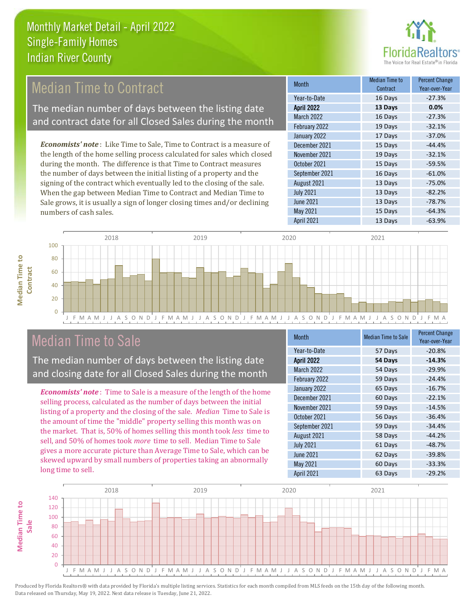

#### Median Time to Contract

The median number of days between the listing date and contract date for all Closed Sales during the month

*Economists' note* : Like Time to Sale, Time to Contract is a measure of the length of the home selling process calculated for sales which closed during the month. The difference is that Time to Contract measures the number of days between the initial listing of a property and the signing of the contract which eventually led to the closing of the sale. When the gap between Median Time to Contract and Median Time to Sale grows, it is usually a sign of longer closing times and/or declining numbers of cash sales.

| <b>Month</b>      | <b>Median Time to</b><br>Contract | <b>Percent Change</b><br>Year-over-Year |
|-------------------|-----------------------------------|-----------------------------------------|
| Year-to-Date      | 16 Days                           | $-27.3%$                                |
| <b>April 2022</b> | 13 Days                           | 0.0%                                    |
| <b>March 2022</b> | 16 Days                           | $-27.3%$                                |
| February 2022     | 19 Days                           | $-32.1%$                                |
| January 2022      | 17 Days                           | $-37.0%$                                |
| December 2021     | 15 Days                           | $-44.4%$                                |
| November 2021     | 19 Days                           | $-32.1%$                                |
| October 2021      | 15 Days                           | $-59.5%$                                |
| September 2021    | 16 Days                           | $-61.0%$                                |
| August 2021       | 13 Days                           | $-75.0%$                                |
| <b>July 2021</b>  | 13 Days                           | $-82.2%$                                |
| <b>June 2021</b>  | 13 Days                           | $-78.7%$                                |
| May 2021          | 15 Days                           | $-64.3%$                                |
| April 2021        | 13 Days                           | $-63.9%$                                |



#### Median Time to Sale

**Median Time to** 

**Median Time to** 

**Median Time to** 

The median number of days between the listing date and closing date for all Closed Sales during the month

*Economists' note* : Time to Sale is a measure of the length of the home selling process, calculated as the number of days between the initial listing of a property and the closing of the sale. *Median* Time to Sale is the amount of time the "middle" property selling this month was on the market. That is, 50% of homes selling this month took *less* time to sell, and 50% of homes took *more* time to sell. Median Time to Sale gives a more accurate picture than Average Time to Sale, which can be skewed upward by small numbers of properties taking an abnormally long time to sell.

| <b>Month</b>      | <b>Median Time to Sale</b> | <b>Percent Change</b><br>Year-over-Year |
|-------------------|----------------------------|-----------------------------------------|
| Year-to-Date      | 57 Days                    | $-20.8%$                                |
| <b>April 2022</b> | 54 Days                    | $-14.3%$                                |
| March 2022        | 54 Days                    | $-29.9%$                                |
| February 2022     | 59 Days                    | $-24.4%$                                |
| January 2022      | 65 Days                    | $-16.7%$                                |
| December 2021     | 60 Days                    | $-22.1%$                                |
| November 2021     | 59 Days                    | $-14.5%$                                |
| October 2021      | 56 Days                    | $-36.4%$                                |
| September 2021    | 59 Days                    | $-34.4%$                                |
| August 2021       | 58 Days                    | $-44.2%$                                |
| <b>July 2021</b>  | 61 Days                    | $-48.7%$                                |
| <b>June 2021</b>  | 62 Days                    | $-39.8%$                                |
| May 2021          | 60 Days                    | $-33.3%$                                |
| <b>April 2021</b> | 63 Days                    | $-29.2%$                                |

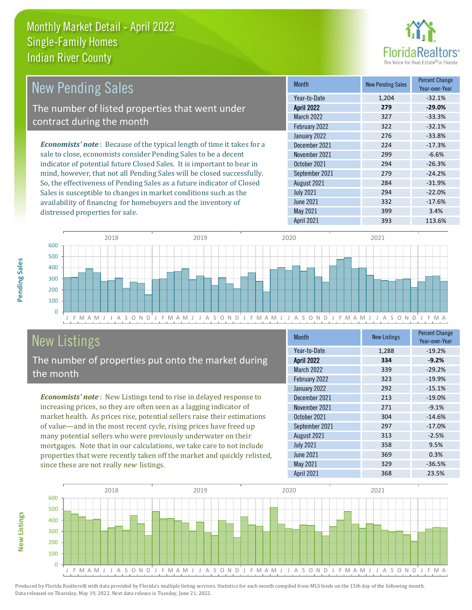distressed properties for sale.



| New Pending Sales                                                             | <b>Month</b>      | <b>New Pending Sales</b> | <b>Percent Change</b><br>Year-over-Year |
|-------------------------------------------------------------------------------|-------------------|--------------------------|-----------------------------------------|
|                                                                               | Year-to-Date      | 1,204                    | $-32.1%$                                |
| The number of listed properties that went under                               | <b>April 2022</b> | 279                      | $-29.0%$                                |
| contract during the month                                                     | March 2022        | 327                      | $-33.3%$                                |
|                                                                               | February 2022     | 322                      | $-32.1%$                                |
|                                                                               | January 2022      | 276                      | $-33.8%$                                |
| <b>Economists' note:</b> Because of the typical length of time it takes for a | December 2021     | 224                      | $-17.3%$                                |
| sale to close, economists consider Pending Sales to be a decent               | November 2021     | 299                      | $-6.6%$                                 |
| indicator of potential future Closed Sales. It is important to bear in        | October 2021      | 294                      | $-26.3%$                                |
| mind, however, that not all Pending Sales will be closed successfully.        | September 2021    | 279                      | $-24.2%$                                |
| So, the effectiveness of Pending Sales as a future indicator of Closed        | August 2021       | 284                      | $-31.9%$                                |
| Sales is susceptible to changes in market conditions such as the              | <b>July 2021</b>  | 294                      | $-22.0%$                                |



## New Listings

The number of properties put onto the market during the month

availability of financing for homebuyers and the inventory of

*Economists' note* : New Listings tend to rise in delayed response to increasing prices, so they are often seen as a lagging indicator of market health. As prices rise, potential sellers raise their estimations of value—and in the most recent cycle, rising prices have freed up many potential sellers who were previously underwater on their mortgages. Note that in our calculations, we take care to not include properties that were recently taken off the market and quickly relisted, since these are not really *new* listings.

| <b>Month</b>      | <b>New Listings</b> | <b>Percent Change</b><br>Year-over-Year |
|-------------------|---------------------|-----------------------------------------|
| Year-to-Date      | 1,288               | $-19.2%$                                |
| <b>April 2022</b> | 334                 | $-9.2%$                                 |
| <b>March 2022</b> | 339                 | $-29.2%$                                |
| February 2022     | 323                 | $-19.9%$                                |
| January 2022      | 292                 | $-15.1%$                                |
| December 2021     | 213                 | $-19.0%$                                |
| November 2021     | 271                 | $-9.1%$                                 |
| October 2021      | 304                 | $-14.6%$                                |
| September 2021    | 297                 | $-17.0%$                                |
| August 2021       | 313                 | $-2.5%$                                 |
| <b>July 2021</b>  | 358                 | 9.5%                                    |
| <b>June 2021</b>  | 369                 | 0.3%                                    |
| May 2021          | 329                 | $-36.5%$                                |
| April 2021        | 368                 | 23.5%                                   |

April 2021 393 113.6%

June 2021 332 -17.6% May 2021 3.4%



Pending Sales

**New Listings**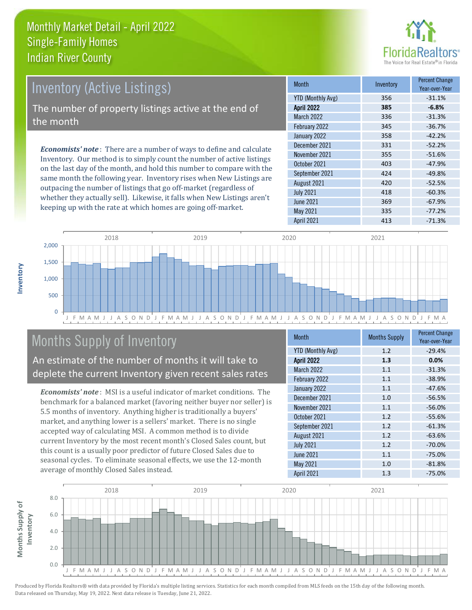

# Inventory (Active Listings) The number of property listings active at the end of the month

*Economists' note* : There are a number of ways to define and calculate Inventory. Our method is to simply count the number of active listings on the last day of the month, and hold this number to compare with the same month the following year. Inventory rises when New Listings are outpacing the number of listings that go off-market (regardless of whether they actually sell). Likewise, it falls when New Listings aren't keeping up with the rate at which homes are going off-market.

| <b>Month</b>             | Inventory | <b>Percent Change</b><br>Year-over-Year |
|--------------------------|-----------|-----------------------------------------|
| <b>YTD (Monthly Avg)</b> | 356       | $-31.1%$                                |
| <b>April 2022</b>        | 385       | $-6.8%$                                 |
| <b>March 2022</b>        | 336       | $-31.3%$                                |
| February 2022            | 345       | $-36.7%$                                |
| January 2022             | 358       | $-42.2%$                                |
| December 2021            | 331       | $-52.2%$                                |
| November 2021            | 355       | $-51.6%$                                |
| October 2021             | 403       | $-47.9%$                                |
| September 2021           | 424       | $-49.8%$                                |
| August 2021              | 420       | $-52.5%$                                |
| <b>July 2021</b>         | 418       | $-60.3%$                                |
| <b>June 2021</b>         | 369       | $-67.9%$                                |
| May 2021                 | 335       | $-77.2%$                                |
| <b>April 2021</b>        | 413       | $-71.3%$                                |



### Months Supply of Inventory

An estimate of the number of months it will take to deplete the current Inventory given recent sales rates

*Economists' note* : MSI is a useful indicator of market conditions. The benchmark for a balanced market (favoring neither buyer nor seller) is 5.5 months of inventory. Anything higher is traditionally a buyers' market, and anything lower is a sellers' market. There is no single accepted way of calculating MSI. A common method is to divide current Inventory by the most recent month's Closed Sales count, but this count is a usually poor predictor of future Closed Sales due to seasonal cycles. To eliminate seasonal effects, we use the 12-month average of monthly Closed Sales instead.

| <b>Month</b>             | <b>Months Supply</b> | <b>Percent Change</b><br>Year-over-Year |
|--------------------------|----------------------|-----------------------------------------|
| <b>YTD (Monthly Avg)</b> | 1.2                  | $-29.4%$                                |
| <b>April 2022</b>        | 1.3                  | 0.0%                                    |
| <b>March 2022</b>        | 1.1                  | $-31.3%$                                |
| February 2022            | 1.1                  | $-38.9%$                                |
| January 2022             | 1.1                  | $-47.6%$                                |
| December 2021            | 1.0                  | $-56.5%$                                |
| November 2021            | 1.1                  | $-56.0%$                                |
| October 2021             | 1.2                  | $-55.6%$                                |
| September 2021           | 1.2                  | $-61.3%$                                |
| August 2021              | 1.2                  | $-63.6%$                                |
| <b>July 2021</b>         | 1.2                  | $-70.0%$                                |
| <b>June 2021</b>         | 1.1                  | $-75.0%$                                |
| May 2021                 | 1.0                  | $-81.8%$                                |
| April 2021               | 1.3                  | $-75.0%$                                |

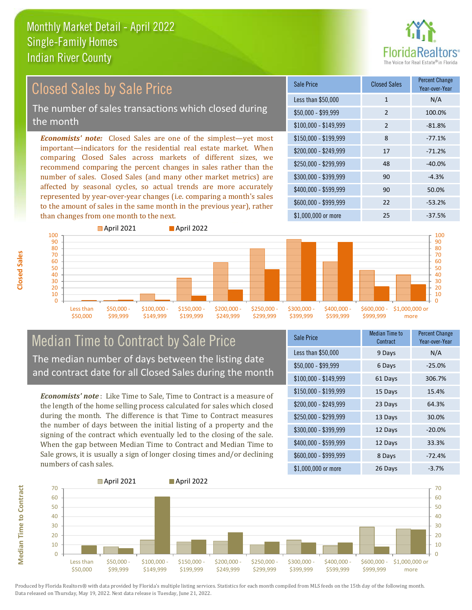

#### \$100,000 - \$149,999 2 -81.8% Sale Price Closed Sales Percent Change Year-over-Year Less than \$50,000 1 1 N/A \$50,000 - \$99,999 2 100.0% \$150,000 - \$199,999 8 -77.1% \$200,000 - \$249,999 17 -71.2% \$400,000 - \$599,999 90 50.0% \$600,000 - \$999,999 22 -53.2% *Economists' note:* Closed Sales are one of the simplest—yet most important—indicators for the residential real estate market. When comparing Closed Sales across markets of different sizes, we recommend comparing the percent changes in sales rather than the number of sales. Closed Sales (and many other market metrics) are affected by seasonal cycles, so actual trends are more accurately represented by year-over-year changes (i.e. comparing a month's sales to the amount of sales in the same month in the previous year), rather than changes from one month to the next. \$1,000,000 or more 25 25 -37.5%  $$250,000 - $299,999$  48  $-40.0\%$  $$300,000 - $399,999$  90 -4.3% Closed Sales by Sale Price The number of sales transactions which closed during the month



#### Median Time to Contract by Sale Price The median number of days between the listing date and contract date for all Closed Sales during the month

*Economists' note* : Like Time to Sale, Time to Contract is a measure of the length of the home selling process calculated for sales which closed during the month. The difference is that Time to Contract measures the number of days between the initial listing of a property and the signing of the contract which eventually led to the closing of the sale. When the gap between Median Time to Contract and Median Time to Sale grows, it is usually a sign of longer closing times and/or declining numbers of cash sales.

| Sale Price            | Median Time to<br>Contract | Percent Change<br>Year-over-Year |
|-----------------------|----------------------------|----------------------------------|
| Less than \$50,000    | 9 Days                     | N/A                              |
| $$50,000 - $99,999$   | 6 Days                     | $-25.0%$                         |
| $$100,000 - $149,999$ | 61 Days                    | 306.7%                           |
| $$150,000 - $199,999$ | 15 Days                    | 15.4%                            |
| \$200,000 - \$249,999 | 23 Days                    | 64.3%                            |
| \$250,000 - \$299,999 | 13 Days                    | 30.0%                            |
| \$300,000 - \$399,999 | 12 Days                    | $-20.0%$                         |
| \$400,000 - \$599,999 | 12 Days                    | 33.3%                            |
| \$600,000 - \$999,999 | 8 Days                     | $-72.4%$                         |
| \$1,000,000 or more   | 26 Days                    | $-3.7%$                          |



**Closed Sales**

**Median Time to Contract Median Time to Contract**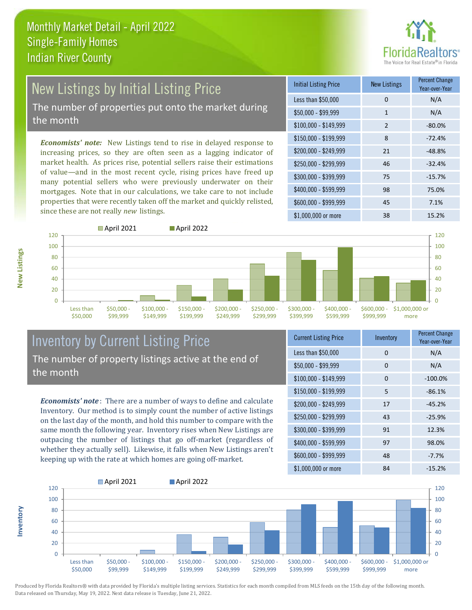

# New Listings by Initial Listing Price

The number of properties put onto the market during the month

*Economists' note:* New Listings tend to rise in delayed response to increasing prices, so they are often seen as a lagging indicator of market health. As prices rise, potential sellers raise their estimations of value—and in the most recent cycle, rising prices have freed up many potential sellers who were previously underwater on their mortgages. Note that in our calculations, we take care to not include properties that were recently taken off the market and quickly relisted, since these are not really *new* listings.

| <b>Initial Listing Price</b> | <b>New Listings</b> | <b>Percent Change</b><br>Year-over-Year |
|------------------------------|---------------------|-----------------------------------------|
| Less than \$50,000           | 0                   | N/A                                     |
| $$50,000 - $99,999$          | $\mathbf{1}$        | N/A                                     |
| $$100,000 - $149,999$        | $\overline{2}$      | $-80.0%$                                |
| $$150,000 - $199,999$        | 8                   | $-72.4%$                                |
| \$200,000 - \$249,999        | 21                  | $-48.8%$                                |
| \$250,000 - \$299,999        | 46                  | $-32.4%$                                |
| \$300,000 - \$399,999        | 75                  | $-15.7%$                                |
| \$400,000 - \$599,999        | 98                  | 75.0%                                   |
| \$600,000 - \$999,999        | 45                  | 7.1%                                    |
| \$1,000,000 or more          | 38                  | 15.2%                                   |



**Inventory**



#### Inventory by Current Listing Price The number of property listings active at the end of the month

*Economists' note* : There are a number of ways to define and calculate Inventory. Our method is to simply count the number of active listings on the last day of the month, and hold this number to compare with the same month the following year. Inventory rises when New Listings are outpacing the number of listings that go off-market (regardless of whether they actually sell). Likewise, it falls when New Listings aren't keeping up with the rate at which homes are going off-market.

| <b>Current Listing Price</b> | Inventory | <b>Percent Change</b><br>Year-over-Year |
|------------------------------|-----------|-----------------------------------------|
| Less than \$50,000           | 0         | N/A                                     |
| $$50,000 - $99,999$          | 0         | N/A                                     |
| $$100,000 - $149,999$        | 0         | $-100.0%$                               |
| $$150,000 - $199,999$        | 5         | $-86.1%$                                |
| \$200,000 - \$249,999        | 17        | $-45.2%$                                |
| \$250,000 - \$299,999        | 43        | $-25.9%$                                |
| \$300,000 - \$399,999        | 91        | 12.3%                                   |
| \$400,000 - \$599,999        | 97        | 98.0%                                   |
| \$600,000 - \$999,999        | 48        | $-7.7%$                                 |
| \$1,000,000 or more          | 84        | $-15.2%$                                |